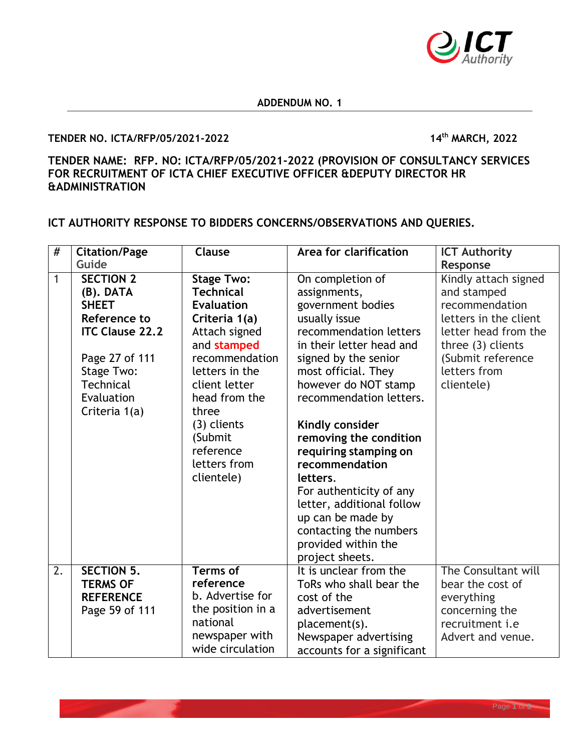

## **ADDENDUM NO. 1**

## **TENDER NO. ICTA/RFP/05/2021-2022 14th MARCH, 2022**

## **TENDER NAME: RFP. NO: ICTA/RFP/05/2021-2022 (PROVISION OF CONSULTANCY SERVICES FOR RECRUITMENT OF ICTA CHIEF EXECUTIVE OFFICER &DEPUTY DIRECTOR HR &ADMINISTRATION**

**ICT AUTHORITY RESPONSE TO BIDDERS CONCERNS/OBSERVATIONS AND QUERIES.** 

| $\#$ | <b>Citation/Page</b>                                                                                                                                                       | Clause                                                                                                                                                                                                                                                          | Area for clarification                                                                                                                                                                                                                                                                                                                                                                                                                                                              | <b>ICT Authority</b>                                                                                                                                                            |
|------|----------------------------------------------------------------------------------------------------------------------------------------------------------------------------|-----------------------------------------------------------------------------------------------------------------------------------------------------------------------------------------------------------------------------------------------------------------|-------------------------------------------------------------------------------------------------------------------------------------------------------------------------------------------------------------------------------------------------------------------------------------------------------------------------------------------------------------------------------------------------------------------------------------------------------------------------------------|---------------------------------------------------------------------------------------------------------------------------------------------------------------------------------|
|      | Guide                                                                                                                                                                      |                                                                                                                                                                                                                                                                 |                                                                                                                                                                                                                                                                                                                                                                                                                                                                                     | Response                                                                                                                                                                        |
| 1    | <b>SECTION 2</b><br>(B). DATA<br><b>SHEET</b><br>Reference to<br><b>ITC Clause 22.2</b><br>Page 27 of 111<br>Stage Two:<br><b>Technical</b><br>Evaluation<br>Criteria 1(a) | <b>Stage Two:</b><br><b>Technical</b><br><b>Evaluation</b><br>Criteria 1(a)<br>Attach signed<br>and stamped<br>recommendation<br>letters in the<br>client letter<br>head from the<br>three<br>(3) clients<br>(Submit<br>reference<br>letters from<br>clientele) | On completion of<br>assignments,<br>government bodies<br>usually issue<br>recommendation letters<br>in their letter head and<br>signed by the senior<br>most official. They<br>however do NOT stamp<br>recommendation letters.<br>Kindly consider<br>removing the condition<br>requiring stamping on<br>recommendation<br>letters.<br>For authenticity of any<br>letter, additional follow<br>up can be made by<br>contacting the numbers<br>provided within the<br>project sheets. | Kindly attach signed<br>and stamped<br>recommendation<br>letters in the client<br>letter head from the<br>three (3) clients<br>(Submit reference)<br>letters from<br>clientele) |
| 2.   | <b>SECTION 5.</b><br><b>TERMS OF</b>                                                                                                                                       | <b>Terms of</b><br>reference                                                                                                                                                                                                                                    | It is unclear from the<br>ToRs who shall bear the                                                                                                                                                                                                                                                                                                                                                                                                                                   | The Consultant will<br>bear the cost of                                                                                                                                         |
|      | <b>REFERENCE</b>                                                                                                                                                           | b. Advertise for                                                                                                                                                                                                                                                | cost of the                                                                                                                                                                                                                                                                                                                                                                                                                                                                         | everything                                                                                                                                                                      |
|      | Page 59 of 111                                                                                                                                                             | the position in a                                                                                                                                                                                                                                               | advertisement                                                                                                                                                                                                                                                                                                                                                                                                                                                                       | concerning the                                                                                                                                                                  |
|      |                                                                                                                                                                            | national                                                                                                                                                                                                                                                        | placement(s).                                                                                                                                                                                                                                                                                                                                                                                                                                                                       | recruitment <i>i.e</i>                                                                                                                                                          |
|      |                                                                                                                                                                            | newspaper with                                                                                                                                                                                                                                                  | Newspaper advertising                                                                                                                                                                                                                                                                                                                                                                                                                                                               | Advert and venue.                                                                                                                                                               |
|      |                                                                                                                                                                            | wide circulation                                                                                                                                                                                                                                                | accounts for a significant                                                                                                                                                                                                                                                                                                                                                                                                                                                          |                                                                                                                                                                                 |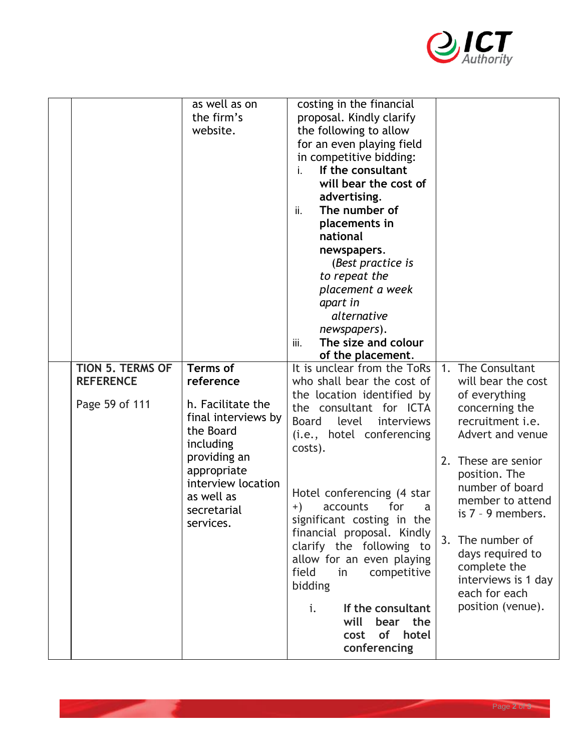

|                                    | as well as on<br>the firm's<br>website.                                                                                                                                        | costing in the financial<br>proposal. Kindly clarify<br>the following to allow<br>for an even playing field<br>in competitive bidding:<br>If the consultant<br>i.<br>will bear the cost of<br>advertising.<br>The number of<br>ii.<br>placements in<br>national<br>newspapers.<br>(Best practice is<br>to repeat the<br>placement a week<br>apart in<br>alternative<br>newspapers).<br>The size and colour<br>iii.<br>of the placement.                            |                                                                                                                                                                                                                                                                                                                                       |
|------------------------------------|--------------------------------------------------------------------------------------------------------------------------------------------------------------------------------|--------------------------------------------------------------------------------------------------------------------------------------------------------------------------------------------------------------------------------------------------------------------------------------------------------------------------------------------------------------------------------------------------------------------------------------------------------------------|---------------------------------------------------------------------------------------------------------------------------------------------------------------------------------------------------------------------------------------------------------------------------------------------------------------------------------------|
| <b>TION 5. TERMS OF</b>            | <b>Terms of</b>                                                                                                                                                                | It is unclear from the ToRs                                                                                                                                                                                                                                                                                                                                                                                                                                        | The Consultant<br>1.                                                                                                                                                                                                                                                                                                                  |
| <b>REFERENCE</b><br>Page 59 of 111 | reference<br>h. Facilitate the<br>final interviews by<br>the Board<br>including<br>providing an<br>appropriate<br>interview location<br>as well as<br>secretarial<br>services. | who shall bear the cost of<br>the location identified by<br>the consultant for ICTA<br><b>Board</b><br>level<br>interviews<br>(i.e., hotel conferencing<br>costs).<br>Hotel conferencing (4 star)<br>for<br>accounts<br>$+)$<br>a<br>significant costing in the<br>financial proposal. Kindly<br>clarify the following to<br>allow for an even playing<br>field<br>in<br>competitive<br>bidding<br>If the consultant<br>i.<br>will<br>bear the<br>cost of<br>hotel | will bear the cost<br>of everything<br>concerning the<br>recruitment <i>i.e.</i><br>Advert and venue<br>These are senior<br>2.<br>position. The<br>number of board<br>member to attend<br>is $7 - 9$ members.<br>3.<br>The number of<br>days required to<br>complete the<br>interviews is 1 day<br>each for each<br>position (venue). |
|                                    |                                                                                                                                                                                | conferencing                                                                                                                                                                                                                                                                                                                                                                                                                                                       |                                                                                                                                                                                                                                                                                                                                       |

**Contract Contract Contract** 

一